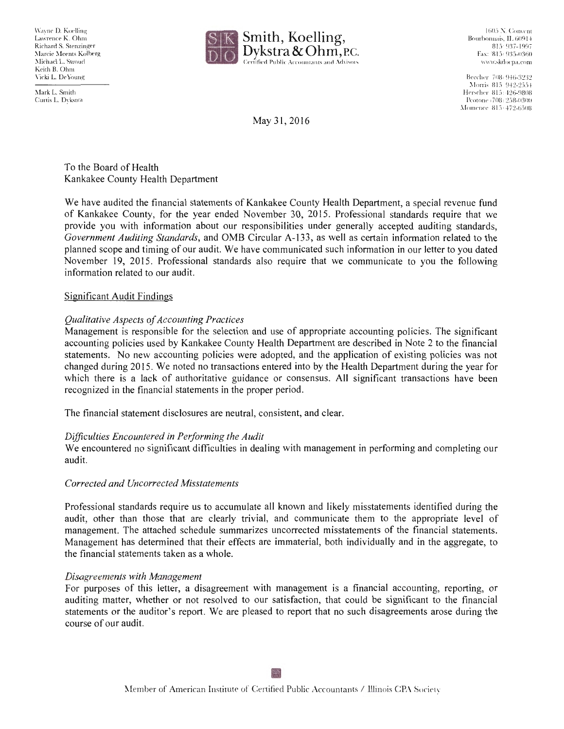Wayne D. Koelling Lawrence K. Ohm Richard S. Stenzinger Marcie Meents Kolberg Michael L. Stroud Keith B. Ohm Vicki L. De Young



1605 N. Convent Bourbonnais, IL 60914 (8 15) 937-1 997 Fax: (8 15) 935-0360 www.skdocpa.com

Beecher (708) 946-3232 Morris 815-942-2554 Herscher 815: 426-9808 Peotone (708) 258-0300 Momence 815<sup>+</sup>472-6508

Mark L. Smith Curtis L. Dykstra

May 31, 2016

To the Board of Health Kankakee County Health Department

We have audited the financial statements of Kankakee County Health Department, a special revenue fund of Kankakee County, for the year ended November 30, 2015. Professional standards require that we provide you with information about our responsibilities under generally accepted auditing standards, *Government Auditing Standards,* and OMB Circular A-133, as well as certain information related to the planned scope and timing of our audit. We have communicated such information in our letter to you dated November 19, 2015. Professional standards also require that we communicate to you the following information related to our audit.

# Significant Audit Findings

# *Qualitative Aspects of Accounting Practices*

Management is responsible for the selection and use of appropriate accounting policies. The significant accounting policies used by Kankakee County Health Department are described in Note 2 to the financial statements. No new accounting policies were adopted, and the application of existing policies was not changed during 2015 . We noted no transactions entered into by the Health Department during the year for which there is a lack of authoritative guidance or consensus. All significant transactions have been recognized in the financial statements in the proper period.

The financial statement disclosures are neutral, consistent, and clear.

## *Difficulties Encountered in Performing the Audit*

We encountered no significant difficulties in dealing with management in performing and completing our audit.

## *Corrected and Uncorrected Misstatements*

Professional standards require us to accumulate all known and likely misstatements identified during the audit, other than those that are clearly trivial, and communicate them to the appropriate level of management. The attached schedule summarizes uncorrected misstatements of the financial statements. Management has determined that their effects are immaterial, both individually and in the aggregate, to the financial statements taken as a whole.

## *Disagreements with Management*

For purposes of this letter, a disagreement with management is a financial accounting, reporting, or auditing matter, whether or not resolved to our satisfaction, that could be significant to the financial statements or the auditor's report. We are pleased to report that no such disagreements arose during the course of our audit.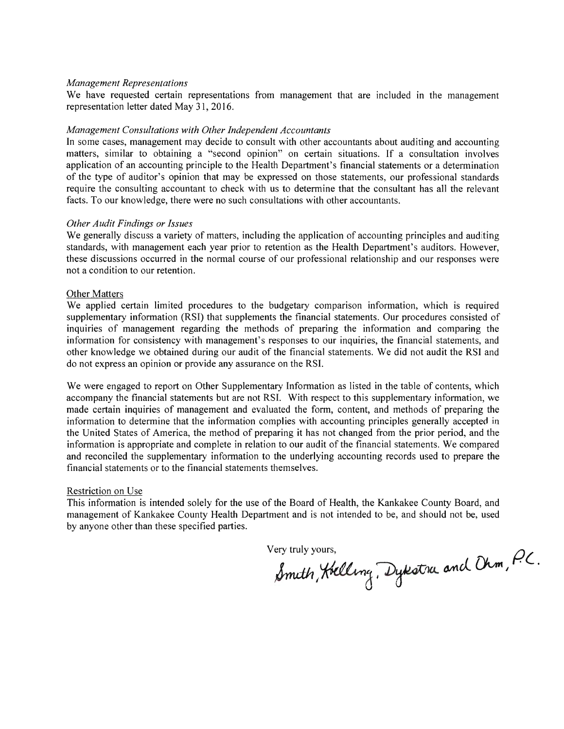#### *Management Representations*

We have requested certain representations from management that are included in the management representation letter dated May 31, 2016.

#### *Management Consultations with Other Independent Accountants*

In some cases, management may decide to consult with other accountants about auditing and accounting matters, similar to obtaining a "second opinion" on certain situations. If a consultation involves application of an accounting principle to the Health Department's financial statements or a determination of the type of auditor's opinion that may be expressed on those statements, our professional standards require the consulting accountant to check with us to determine that the consultant has all the relevant facts. To our knowledge, there were no such consultations with other accountants.

### *Other Audit Findings or Issues*

We generally discuss a variety of matters, including the application of accounting principles and auditing standards, with management each year prior to retention as the Health Department's auditors. However, these discussions occurred in the normal course of our professional relationship and our responses were not a condition to our retention.

#### Other Matters

We applied certain limited procedures to the budgetary comparison information, which is required supplementary information (RSI) that supplements the financial statements. Our procedures consisted of inquiries of management regarding the methods of preparing the information and comparing the information for consistency with management's responses to our inquiries, the financial statements, and other knowledge we obtained during our audit of the financial statements. We did not audit the RSI and do not express an opinion or provide any assurance on the RSI.

We were engaged to report on Other Supplementary Information as listed in the table of contents, which accompany the financial statements but are not RSI. With respect to this supplementary information, we made certain inquiries of management and evaluated the form, content, and methods of preparing the information to determine that the information complies with accounting principles generally accepted in the United States of America, the method of preparing it has not changed from the prior period, and the information is appropriate and complete in relation to our audit of the financial statements. We compared and reconciled the supplementary information to the underlying accounting records used to prepare the financial statements or to the financial statements themselves.

### Restriction on Use

This information is intended solely for the use of the Board of Health, the Kankakee County Board, and management of Kankakee County Health Department and is not intended to be, and should not be, used by anyone other than these specified parties.

Very truly yours,  $\bigcap$ ery truly yours,<br>Smith, Koelling, Dykstra and Ohm, P.C.